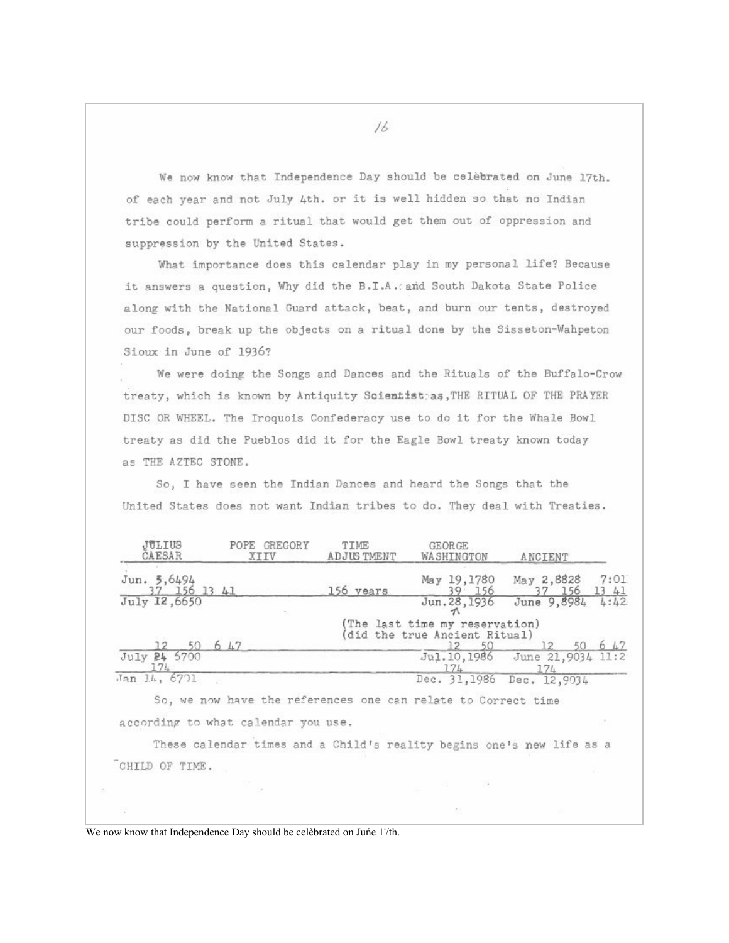We now know that Independence Day should be celebrated on June 17th. of each year and not July 4th. or it is well hidden so that no Indian tribe could perform a ritual that would get them out of oppression and suppression by the United States.

What importance does this calendar play in my personal life? Because it answers a question, Why did the B.I.A. and South Dakota State Police along with the National Guard attack, beat, and burn our tents, destroyed our foods, break up the objects on a ritual done by the Sisseton-Wahpeton Sioux in June of 1936?

We were doing the Songs and Dances and the Rituals of the Buffalo-Crow treaty, which is known by Antiquity Scientisteas, THE RITUAL OF THE PRAYER DISC OR WHEEL. The Iroquois Confederacy use to do it for the Whale Bowl treaty as did the Pueblos did it for the Eagle Bowl treaty known today as THE AZTEC STONE.

So, I have seen the Indian Dances and heard the Songs that the United States does not want Indian tribes to do. They deal with Treaties.

| JULIUS<br>CAESAR                | GREGORY<br>POPE<br>XIIV                                               | TIME<br>ADJUS TMENT | <b>GEORGE</b><br>WASHINGTON                                    | ANCIENT                              |               |
|---------------------------------|-----------------------------------------------------------------------|---------------------|----------------------------------------------------------------|--------------------------------------|---------------|
| Jun. 5,6494<br>37 156 13 41     |                                                                       | 156 vears           | May 19,1780<br>39.156                                          | May 2,8828<br>37 156                 | 7:01<br>13 41 |
| July 12,6650                    |                                                                       |                     | Jun. 28, 1936                                                  | June 9,8984                          | 4:42          |
|                                 |                                                                       |                     | (The last time my reservation)<br>did the true Ancient Ritual) |                                      |               |
| 50<br>12<br>July 24 5700<br>174 | 6 47                                                                  |                     | 12 50<br>174                                                   | Jul.10,1986 June 21,9034 11:2<br>174 | 6 47          |
| Jan 14, 6701                    |                                                                       |                     | Dec. 31,1986 Dec. 12,9034                                      |                                      |               |
|                                 | So, we now have the references one can relate to Correct time         |                     |                                                                |                                      |               |
|                                 | according to what calendar you use.                                   |                     |                                                                |                                      |               |
|                                 | These calendar times and a Child's reality begins one's new life as a |                     |                                                                |                                      |               |
| CHILD OF TIME.                  |                                                                       |                     |                                                                |                                      |               |
|                                 |                                                                       |                     |                                                                |                                      |               |

We now know that Independence Day should be celebrated on June 1'/th.

16